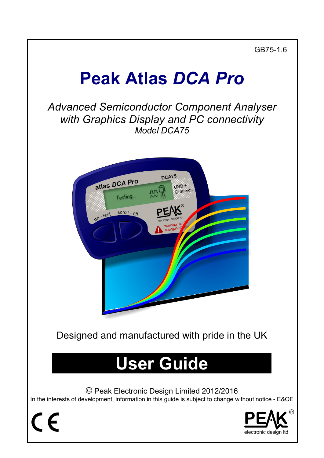# **Peak Atlas** *DCA Pro*

*Advanced Semiconductor Component Analyser with Graphics Display and PC connectivity Model DCA75* 



Designed and manufactured with pride in the UK

# **User Guide**

© Peak Electronic Design Limited 2012/2016 In the interests of development, information in this guide is subject to change without notice - E&OE

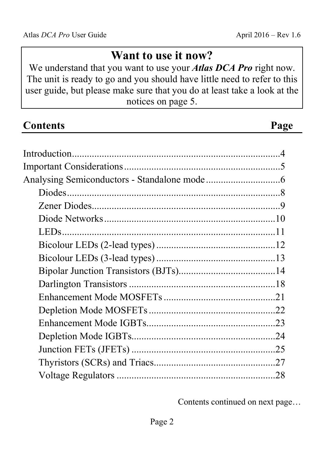### **Want to use it now?**

We understand that you want to use your *Atlas DCA Pro* right now. The unit is ready to go and you should have little need to refer to this user guide, but please make sure that you do at least take a look at the notices on page 5.

| <b>Contents</b> | Page |
|-----------------|------|
|                 |      |
|                 |      |
|                 |      |
|                 |      |
|                 |      |
|                 |      |
|                 |      |
|                 |      |
|                 |      |
|                 |      |
|                 |      |
|                 |      |
|                 |      |
|                 |      |
|                 |      |
|                 |      |
|                 |      |
|                 |      |
|                 | .28  |

Contents continued on next page…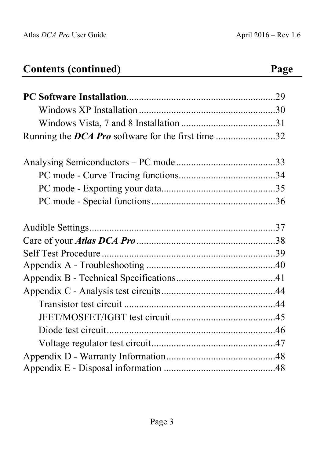| <b>Contents (continued)</b><br>Page |
|-------------------------------------|
|-------------------------------------|

| Running the <i>DCA Pro</i> software for the first time 32 |  |
|-----------------------------------------------------------|--|
|                                                           |  |
|                                                           |  |
|                                                           |  |
|                                                           |  |
|                                                           |  |
|                                                           |  |
|                                                           |  |
|                                                           |  |
|                                                           |  |
|                                                           |  |
|                                                           |  |
|                                                           |  |
|                                                           |  |
|                                                           |  |
|                                                           |  |
|                                                           |  |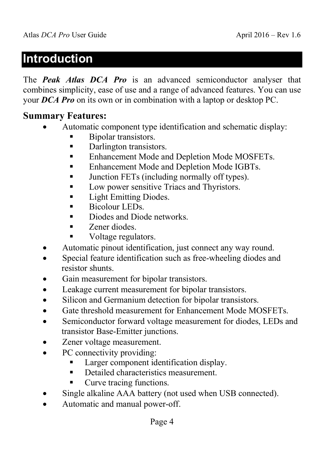### **Introduction**

The *Peak Atlas DCA Pro* is an advanced semiconductor analyser that combines simplicity, ease of use and a range of advanced features. You can use your *DCA Pro* on its own or in combination with a laptop or desktop PC.

#### **Summary Features:**

- Automatic component type identification and schematic display:
	- Bipolar transistors.
	- Darlington transistors.
	- **Enhancement Mode and Depletion Mode MOSFETs.**
	- Enhancement Mode and Depletion Mode IGBTs.
	- Junction FETs (including normally off types).
	- Low power sensitive Triacs and Thyristors.
	- Light Emitting Diodes.
	- $\blacksquare$  Bicolour LEDs.
	- **•** Diodes and Diode networks.
	- Zener diodes.
	- Voltage regulators.
- Automatic pinout identification, just connect any way round.
- Special feature identification such as free-wheeling diodes and resistor shunts.
- Gain measurement for bipolar transistors.
- Leakage current measurement for bipolar transistors.
- Silicon and Germanium detection for bipolar transistors.
- Gate threshold measurement for Enhancement Mode MOSFETs.
- Semiconductor forward voltage measurement for diodes, LEDs and transistor Base-Emitter junctions.
- Zener voltage measurement.
- PC connectivity providing:
	- Larger component identification display.
	- Detailed characteristics measurement.
	- Curve tracing functions.
- Single alkaline AAA battery (not used when USB connected).
- Automatic and manual power-off.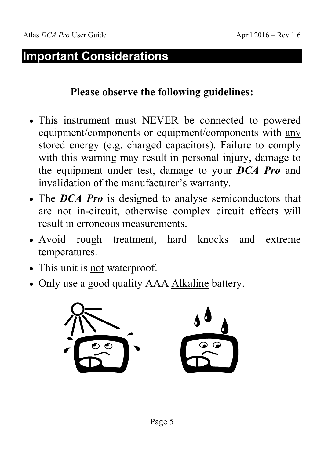### **Important Considerations**

### **Please observe the following guidelines:**

- This instrument must NEVER be connected to powered equipment/components or equipment/components with any stored energy (e.g. charged capacitors). Failure to comply with this warning may result in personal injury, damage to the equipment under test, damage to your *DCA Pro* and invalidation of the manufacturer's warranty.
- The *DCA Pro* is designed to analyse semiconductors that are not in-circuit, otherwise complex circuit effects will result in erroneous measurements.
- Avoid rough treatment, hard knocks and extreme temperatures.
- This unit is <u>not</u> waterproof.
- Only use a good quality AAA Alkaline battery.

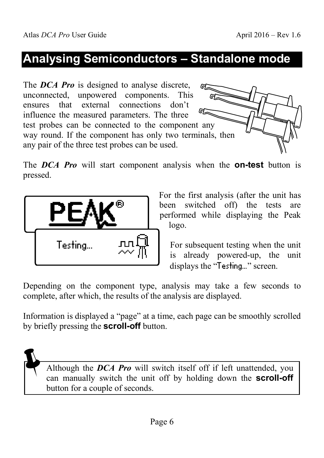# **Analysing Semiconductors – Standalone mode**

The *DCA Pro* is designed to analyse discrete, G unconnected, unpowered components. This ensures that external connections don't influence the measured parameters. The three test probes can be connected to the component any way round. If the component has only two terminals, then any pair of the three test probes can be used.

The *DCA Pro* will start component analysis when the **on-test** button is pressed.



For the first analysis (after the unit has been switched off) the tests are performed while displaying the Peak logo.

For subsequent testing when the unit is already powered-up, the unit displays the "Testing…" screen.

Depending on the component type, analysis may take a few seconds to complete, after which, the results of the analysis are displayed.

Information is displayed a "page" at a time, each page can be smoothly scrolled by briefly pressing the **scroll-off** button.



Although the *DCA Pro* will switch itself off if left unattended, you can manually switch the unit off by holding down the **scroll-off** button for a couple of seconds.

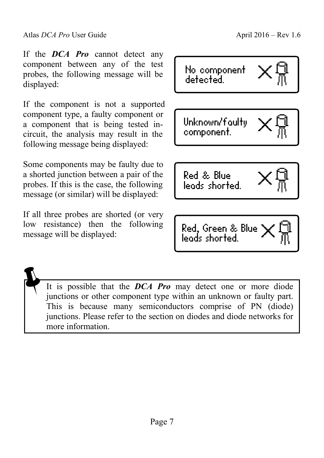If the *DCA Pro* cannot detect any component between any of the test probes, the following message will be displayed:

If the component is not a supported component type, a faulty component or a component that is being tested incircuit, the analysis may result in the following message being displayed:

Some components may be faulty due to a shorted junction between a pair of the probes. If this is the case, the following message (or similar) will be displayed:

If all three probes are shorted (or very low resistance) then the following message will be displayed:



It is possible that the *DCA Pro* may detect one or more diode junctions or other component type within an unknown or faulty part. This is because many semiconductors comprise of PN (diode) junctions. Please refer to the section on diodes and diode networks for more information.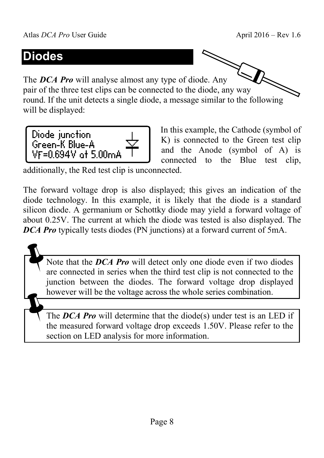# **Diodes**

The *DCA Pro* will analyse almost any type of diode. Any pair of the three test clips can be connected to the diode, any way round. If the unit detects a single diode, a message similar to the following will be displayed:

Diode junction Green-K Blue-A VF=0.694V at 5.00mA

In this example, the Cathode (symbol of K) is connected to the Green test clip and the Anode (symbol of A) is connected to the Blue test clip,

additionally, the Red test clip is unconnected.

The forward voltage drop is also displayed; this gives an indication of the diode technology. In this example, it is likely that the diode is a standard silicon diode. A germanium or Schottky diode may yield a forward voltage of about 0.25V. The current at which the diode was tested is also displayed. The *DCA Pro* typically tests diodes (PN junctions) at a forward current of 5mA.

Note that the *DCA Pro* will detect only one diode even if two diodes are connected in series when the third test clip is not connected to the junction between the diodes. The forward voltage drop displayed however will be the voltage across the whole series combination.

The *DCA Pro* will determine that the diode(s) under test is an LED if the measured forward voltage drop exceeds 1.50V. Please refer to the section on LED analysis for more information.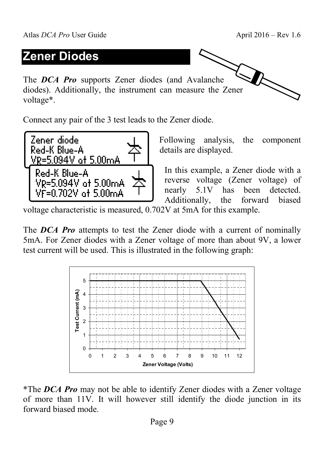# **Zener Diodes**

The *DCA Pro* supports Zener diodes (and Avalanche diodes). Additionally, the instrument can measure the Zener voltage\*.

Connect any pair of the 3 test leads to the Zener diode.



Following analysis, the component details are displayed.

In this example, a Zener diode with a reverse voltage (Zener voltage) of nearly 5.1V has been detected. Additionally, the forward biased

voltage characteristic is measured, 0.702V at 5mA for this example.

The **DCA Pro** attempts to test the Zener diode with a current of nominally 5mA. For Zener diodes with a Zener voltage of more than about 9V, a lower test current will be used. This is illustrated in the following graph:



\*The *DCA Pro* may not be able to identify Zener diodes with a Zener voltage of more than 11V. It will however still identify the diode junction in its forward biased mode.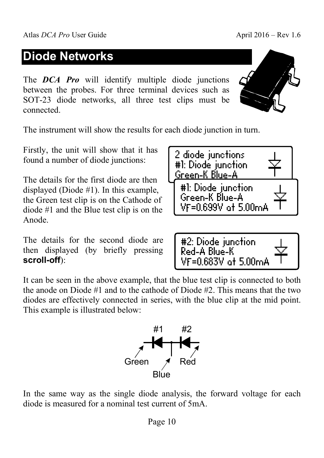# **Diode Networks**

The *DCA Pro* will identify multiple diode junctions between the probes. For three terminal devices such as SOT-23 diode networks, all three test clips must be connected.

The instrument will show the results for each diode junction in turn.

Firstly, the unit will show that it has found a number of diode junctions:

The details for the first diode are then displayed (Diode #1). In this example, the Green test clip is on the Cathode of diode #1 and the Blue test clip is on the Anode.

The details for the second diode are then displayed (by briefly pressing **scroll-off**):

It can be seen in the above example, that the blue test clip is connected to both the anode on Diode #1 and to the cathode of Diode #2. This means that the two diodes are effectively connected in series, with the blue clip at the mid point. This example is illustrated below:

#1

#2

Green **A** Red

Blue

In the same way as the single diode analysis, the forward voltage for each diode is measured for a nominal test current of 5mA.





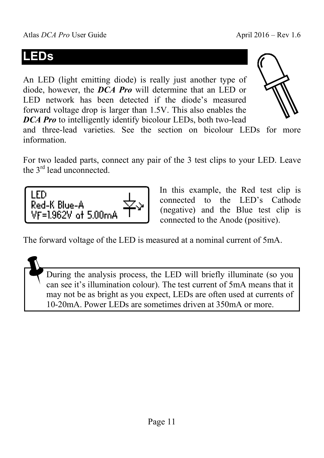### **LEDs**

An LED (light emitting diode) is really just another type of diode, however, the *DCA Pro* will determine that an LED or LED network has been detected if the diode's measured forward voltage drop is larger than 1.5V. This also enables the *DCA Pro* to intelligently identify bicolour LEDs, both two-lead



and three-lead varieties. See the section on bicolour LEDs for more information.

For two leaded parts, connect any pair of the 3 test clips to your LED. Leave the 3rd lead unconnected.



In this example, the Red test clip is connected to the LED's Cathode (negative) and the Blue test clip is connected to the Anode (positive).

The forward voltage of the LED is measured at a nominal current of 5mA.

 During the analysis process, the LED will briefly illuminate (so you can see it's illumination colour). The test current of 5mA means that it may not be as bright as you expect, LEDs are often used at currents of 10-20mA. Power LEDs are sometimes driven at 350mA or more.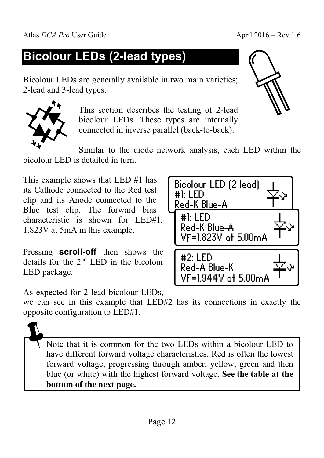# **Bicolour LEDs (2-lead types)**

Bicolour LEDs are generally available in two main varieties; 2-lead and 3-lead types.



This section describes the testing of 2-lead bicolour LEDs. These types are internally connected in inverse parallel (back-to-back).

Similar to the diode network analysis, each LED within the bicolour LED is detailed in turn.

This example shows that LED #1 has its Cathode connected to the Red test clip and its Anode connected to the Blue test clip. The forward bias characteristic is shown for LED#1, 1.823V at 5mA in this example.

Pressing **scroll-off** then shows the details for the  $2<sup>nd</sup>$  LED in the bicolour LED package.

As expected for 2-lead bicolour LEDs,

we can see in this example that LED#2 has its connections in exactly the opposite configuration to LED#1.



 Note that it is common for the two LEDs within a bicolour LED to have different forward voltage characteristics. Red is often the lowest forward voltage, progressing through amber, yellow, green and then blue (or white) with the highest forward voltage. **See the table at the bottom of the next page.**



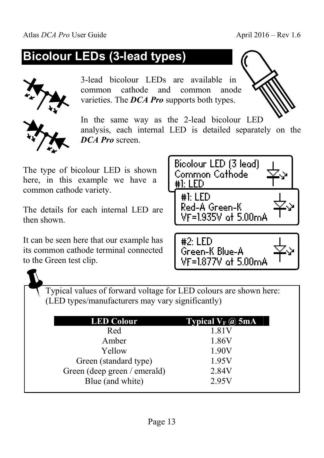# **Bicolour LEDs (3-lead types)**



3-lead bicolour LEDs are available in common cathode and common anode varieties. The *DCA Pro* supports both types.



In the same way as the 2-lead bicolour LED analysis, each internal LED is detailed separately on the *DCA Pro* screen.

The type of bicolour LED is shown here, in this example we have a common cathode variety.

The details for each internal LED are then shown.

It can be seen here that our example has its common cathode terminal connected to the Green test clip.



#2: LED Green-K Blue-A VF=1.877V at 5.00mA

Typical values of forward voltage for LED colours are shown here: (LED types/manufacturers may vary significantly)

| <b>LED Colour</b>            | Typical $V_F(\omega)$ 5mA |
|------------------------------|---------------------------|
| Red                          | 1.81V                     |
| Amber                        | 1.86V                     |
| Yellow                       | 1.90V                     |
| Green (standard type)        | 1.95V                     |
| Green (deep green / emerald) | 2.84V                     |
| Blue (and white)             | 2.95V                     |
|                              |                           |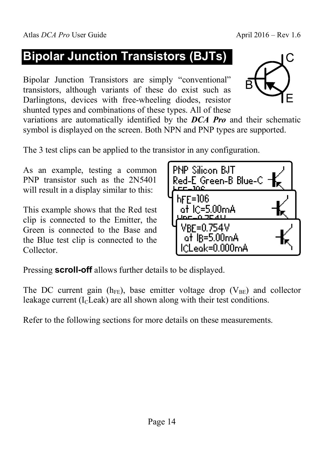# **Bipolar Junction Transistors (BJTs)**

Bipolar Junction Transistors are simply "conventional" transistors, although variants of these do exist such as Darlingtons, devices with free-wheeling diodes, resistor shunted types and combinations of these types. All of these

variations are automatically identified by the *DCA Pro* and their schematic symbol is displayed on the screen. Both NPN and PNP types are supported.

hFE=106

at IC=5.00mA

VBE<del>=0.754V</del><br>USE=0.754V VBE=0.754V at IB=5.00mA ICLeak=0.000mA

The 3 test clips can be applied to the transistor in any configuration.

As an example, testing a common PNP transistor such as the 2N5401 will result in a display similar to this:

This example shows that the Red test clip is connected to the Emitter, the Green is connected to the Base and the Blue test clip is connected to the Collector.

Pressing **scroll-off** allows further details to be displayed.

The DC current gain  $(h_{FE})$ , base emitter voltage drop  $(V_{BE})$  and collector leakage current  $(I<sub>C</sub>Leak)$  are all shown along with their test conditions.

Refer to the following sections for more details on these measurements.



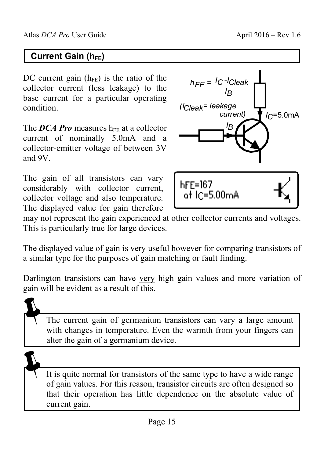#### **Current Gain (hFE)**

DC current gain  $(h_{FE})$  is the ratio of the collector current (less leakage) to the base current for a particular operating condition.

The *DCA Pro* measures h<sub>FE</sub> at a collector current of nominally 5.0mA and a collector-emitter voltage of between 3V and 9V.

The gain of all transistors can vary considerably with collector current, collector voltage and also temperature. The displayed value for gain therefore



may not represent the gain experienced at other collector currents and voltages. This is particularly true for large devices.

The displayed value of gain is very useful however for comparing transistors of a similar type for the purposes of gain matching or fault finding.

Darlington transistors can have very high gain values and more variation of gain will be evident as a result of this.

 The current gain of germanium transistors can vary a large amount with changes in temperature. Even the warmth from your fingers can alter the gain of a germanium device.

 It is quite normal for transistors of the same type to have a wide range of gain values. For this reason, transistor circuits are often designed so that their operation has little dependence on the absolute value of current gain.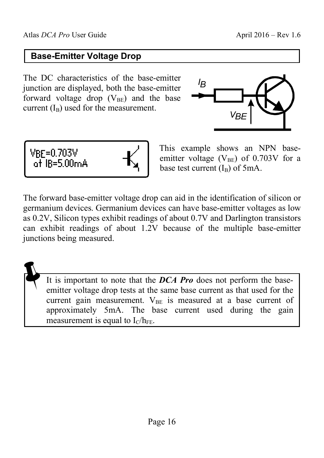#### **Base-Emitter Voltage Drop**

The DC characteristics of the base-emitter junction are displayed, both the base-emitter forward voltage drop  $(V_{BE})$  and the base current  $(I_B)$  used for the measurement.





This example shows an NPN baseemitter voltage ( $V_{BE}$ ) of 0.703V for a base test current  $(I_B)$  of 5mA.

The forward base-emitter voltage drop can aid in the identification of silicon or germanium devices. Germanium devices can have base-emitter voltages as low as 0.2V, Silicon types exhibit readings of about 0.7V and Darlington transistors can exhibit readings of about 1.2V because of the multiple base-emitter junctions being measured.

 It is important to note that the *DCA Pro* does not perform the baseemitter voltage drop tests at the same base current as that used for the current gain measurement.  $V_{BF}$  is measured at a base current of approximately 5mA. The base current used during the gain measurement is equal to  $I_C/h_{FE}$ .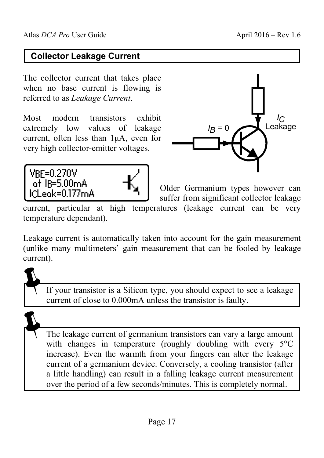#### **Collector Leakage Current**

The collector current that takes place when no base current is flowing is referred to as *Leakage Current*.

Most modern transistors exhibit extremely low values of leakage current, often less than 1µA, even for very high collector-emitter voltages.





Older Germanium types however can suffer from significant collector leakage

current, particular at high temperatures (leakage current can be very temperature dependant).

Leakage current is automatically taken into account for the gain measurement (unlike many multimeters' gain measurement that can be fooled by leakage current).

 If your transistor is a Silicon type, you should expect to see a leakage current of close to 0.000mA unless the transistor is faulty.

 The leakage current of germanium transistors can vary a large amount with changes in temperature (roughly doubling with every 5°C increase). Even the warmth from your fingers can alter the leakage current of a germanium device. Conversely, a cooling transistor (after a little handling) can result in a falling leakage current measurement over the period of a few seconds/minutes. This is completely normal.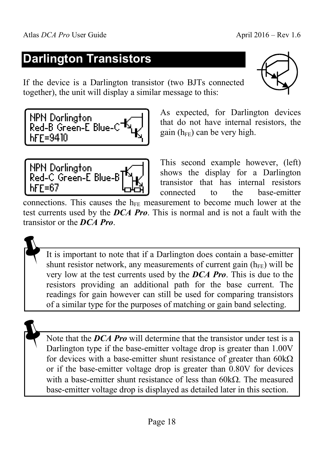### **Darlington Transistors**

If the device is a Darlington transistor (two BJTs connected together), the unit will display a similar message to this:





As expected, for Darlington devices that do not have internal resistors, the gain  $(h_{FE})$  can be very high.



This second example however, (left) shows the display for a Darlington transistor that has internal resistors connected to the base-emitter

connections. This causes the  $h_{FE}$  measurement to become much lower at the test currents used by the *DCA Pro*. This is normal and is not a fault with the transistor or the *DCA Pro*.

 It is important to note that if a Darlington does contain a base-emitter shunt resistor network, any measurements of current gain  $(h_{FE})$  will be very low at the test currents used by the *DCA Pro*. This is due to the resistors providing an additional path for the base current. The readings for gain however can still be used for comparing transistors of a similar type for the purposes of matching or gain band selecting.

 Note that the *DCA Pro* will determine that the transistor under test is a Darlington type if the base-emitter voltage drop is greater than 1.00V for devices with a base-emitter shunt resistance of greater than  $60k\Omega$ or if the base-emitter voltage drop is greater than 0.80V for devices with a base-emitter shunt resistance of less than  $60k\Omega$ . The measured base-emitter voltage drop is displayed as detailed later in this section.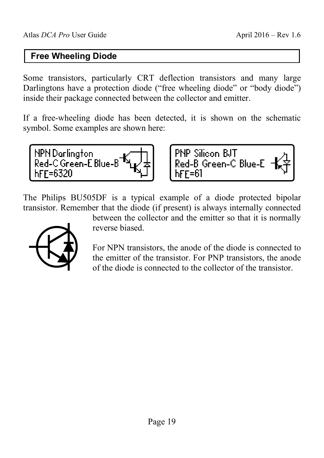#### **Free Wheeling Diode**

Some transistors, particularly CRT deflection transistors and many large Darlingtons have a protection diode ("free wheeling diode" or "body diode") inside their package connected between the collector and emitter.

If a free-wheeling diode has been detected, it is shown on the schematic symbol. Some examples are shown here:



PNP Silicon BJT Red-B Green-C Blue-E hFE=61

The Philips BU505DF is a typical example of a diode protected bipolar transistor. Remember that the diode (if present) is always internally connected



between the collector and the emitter so that it is normally reverse biased.

For NPN transistors, the anode of the diode is connected to the emitter of the transistor. For PNP transistors, the anode of the diode is connected to the collector of the transistor.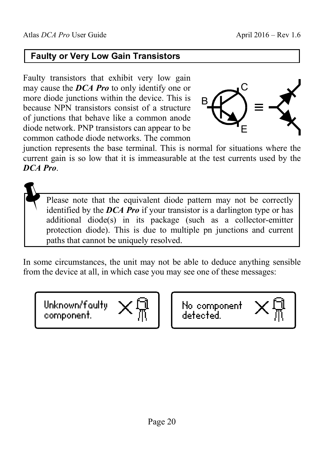#### **Faulty or Very Low Gain Transistors**

Faulty transistors that exhibit very low gain may cause the *DCA Pro* to only identify one or more diode junctions within the device. This is because NPN transistors consist of a structure of junctions that behave like a common anode diode network. PNP transistors can appear to be common cathode diode networks. The common



junction represents the base terminal. This is normal for situations where the current gain is so low that it is immeasurable at the test currents used by the *DCA Pro*.

 Please note that the equivalent diode pattern may not be correctly identified by the *DCA Pro* if your transistor is a darlington type or has additional diode(s) in its package (such as a collector-emitter protection diode). This is due to multiple pn junctions and current paths that cannot be uniquely resolved.

In some circumstances, the unit may not be able to deduce anything sensible from the device at all, in which case you may see one of these messages:



No component detected.

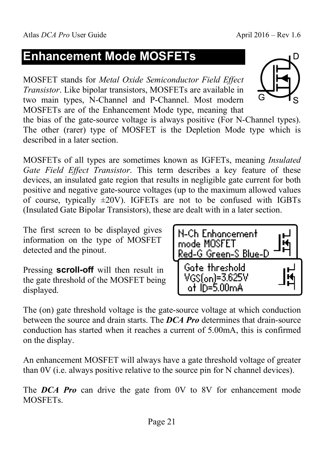# **Enhancement Mode MOSFETs**

MOSFET stands for *Metal Oxide Semiconductor Field Effect Transistor*. Like bipolar transistors, MOSFETs are available in two main types, N-Channel and P-Channel. Most modern MOSFETs are of the Enhancement Mode type, meaning that

the bias of the gate-source voltage is always positive (For N-Channel types). The other (rarer) type of MOSFET is the Depletion Mode type which is described in a later section.

MOSFETs of all types are sometimes known as IGFETs, meaning *Insulated Gate Field Effect Transistor*. This term describes a key feature of these devices, an insulated gate region that results in negligible gate current for both positive and negative gate-source voltages (up to the maximum allowed values of course, typically  $\pm 20V$ ). IGFETs are not to be confused with IGBTs (Insulated Gate Bipolar Transistors), these are dealt with in a later section.

The first screen to be displayed gives information on the type of MOSFET detected and the pinout.

Pressing **scroll-off** will then result in the gate threshold of the MOSFET being displayed.

The (on) gate threshold voltage is the gate-source voltage at which conduction between the source and drain starts. The *DCA Pro* determines that drain-source conduction has started when it reaches a current of 5.00mA, this is confirmed on the display.

An enhancement MOSFET will always have a gate threshold voltage of greater than 0V (i.e. always positive relative to the source pin for N channel devices).

The **DCA Pro** can drive the gate from 0V to 8V for enhancement mode **MOSFETs** 



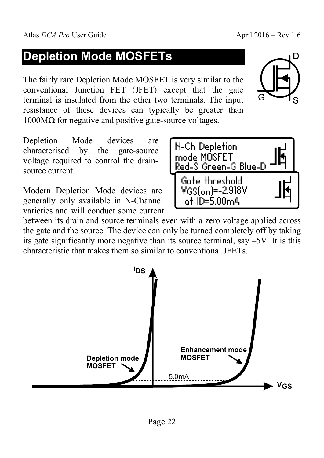# **Depletion Mode MOSFETs**

The fairly rare Depletion Mode MOSFET is very similar to the conventional Junction FET (JFET) except that the gate terminal is insulated from the other two terminals. The input resistance of these devices can typically be greater than  $1000$ MΩ for negative and positive gate-source voltages.

Depletion Mode devices are characterised by the gate-source voltage required to control the drainsource current.

Modern Depletion Mode devices are generally only available in N-Channel varieties and will conduct some current

between its drain and source terminals even with a zero voltage applied across the gate and the source. The device can only be turned completely off by taking its gate significantly more negative than its source terminal, say –5V. It is this characteristic that makes them so similar to conventional JFETs.





N-Ch Depletion mode MOSFET

Red-S Green-G Blue-D

Gate threshold

VGS(on)=-2.918V at ID=5.00mA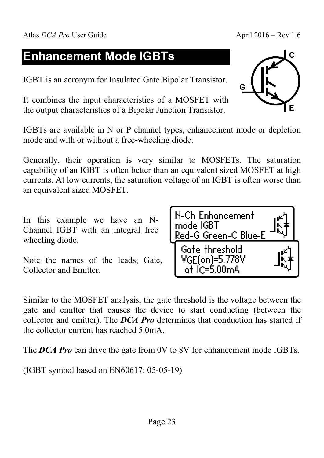# **Enhancement Mode IGBTs**

IGBT is an acronym for Insulated Gate Bipolar Transistor.

It combines the input characteristics of a MOSFET with the output characteristics of a Bipolar Junction Transistor.

IGBTs are available in N or P channel types, enhancement mode or depletion mode and with or without a free-wheeling diode.

Generally, their operation is very similar to MOSFETs. The saturation capability of an IGBT is often better than an equivalent sized MOSFET at high currents. At low currents, the saturation voltage of an IGBT is often worse than an equivalent sized MOSFET.

In this example we have an N-Channel IGBT with an integral free wheeling diode.

Note the names of the leads; Gate, Collector and Emitter.

Similar to the MOSFET analysis, the gate threshold is the voltage between the gate and emitter that causes the device to start conducting (between the collector and emitter). The *DCA Pro* determines that conduction has started if the collector current has reached 5.0mA.

The *DCA Pro* can drive the gate from 0V to 8V for enhancement mode IGBTs.

(IGBT symbol based on EN60617: 05-05-19)

|   |  | Ć |
|---|--|---|
|   |  |   |
| G |  |   |
|   |  | E |



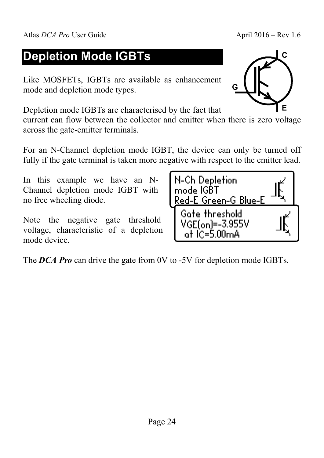# **Depletion Mode IGBTs**

Like MOSFETs, IGBTs are available as enhancement mode and depletion mode types.

Depletion mode IGBTs are characterised by the fact that

current can flow between the collector and emitter when there is zero voltage across the gate-emitter terminals.

For an N-Channel depletion mode IGBT, the device can only be turned off fully if the gate terminal is taken more negative with respect to the emitter lead.

N-Ch Depletion

Red-E Green-G Blue-E

Gate threshold

VGE(on)=-3.955V at IC=5.00mA

mode IGBT

In this example we have an N-Channel depletion mode IGBT with no free wheeling diode.

Note the negative gate threshold voltage, characteristic of a depletion mode device.

The *DCA Pro* can drive the gate from 0V to -5V for depletion mode IGBTs.

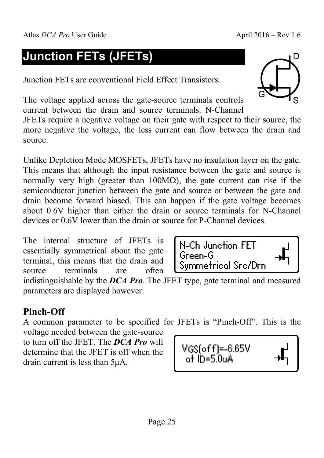# **Junction FETs (JFETs)**

Junction FETs are conventional Field Effect Transistors.

The voltage applied across the gate-source terminals controls current between the drain and source terminals. N-Channel

JFETs require a negative voltage on their gate with respect to their source, the more negative the voltage, the less current can flow between the drain and source.

Unlike Depletion Mode MOSFETs, JFETs have no insulation layer on the gate. This means that although the input resistance between the gate and source is normally very high (greater than  $100\text{M}\Omega$ ), the gate current can rise if the semiconductor junction between the gate and source or between the gate and drain become forward biased. This can happen if the gate voltage becomes about 0.6V higher than either the drain or source terminals for N-Channel devices or 0.6V lower than the drain or source for P-Channel devices.

The internal structure of JFETs is essentially symmetrical about the gate terminal, this means that the drain and source terminals are often

indistinguishable by the *DCA Pro*. The JFET type, gate terminal and measured parameters are displayed however.

### **Pinch-Off**

A common parameter to be specified for JFETs is "Pinch-Off". This is the

voltage needed between the gate-source to turn off the JFET. The *DCA Pro* will determine that the JFET is off when the drain current is less than 5µA.

VGS(off)=-6.65V at ID=5.0uA



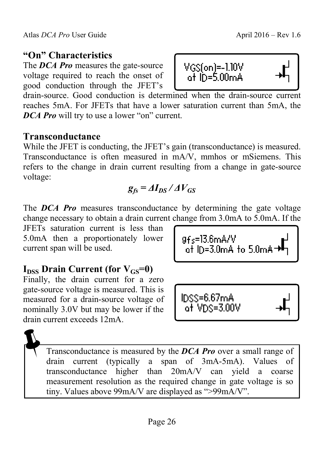### **"On" Characteristics**

The *DCA Pro* measures the gate-source voltage required to reach the onset of good conduction through the JFET's

drain-source. Good conduction is determined when the drain-source current reaches 5mA. For JFETs that have a lower saturation current than 5mA, the *DCA Pro* will try to use a lower "on" current.

#### **Transconductance**

While the JFET is conducting, the JFET's gain (transconductance) is measured. Transconductance is often measured in mA/V, mmhos or mSiemens. This refers to the change in drain current resulting from a change in gate-source voltage:

$$
g_{fs} = \Delta I_{DS} / \Delta V_{GS}
$$

The *DCA Pro* measures transconductance by determining the gate voltage change necessary to obtain a drain current change from 3.0mA to 5.0mA. If the

JFETs saturation current is less than 5.0mA then a proportionately lower current span will be used.

### $I_{DSS}$  Drain Current (for  $V_{GS}$ =0)

Finally, the drain current for a zero gate-source voltage is measured. This is measured for a drain-source voltage of nominally 3.0V but may be lower if the drain current exceeds 12mA.

$$
\begin{array}{c}\n\text{9+}5 = 13.6 \text{m} \text{A} \cdot \text{V} \\
\text{of ID = 3.0 \text{m} \text{A} + \text{I} \\
\end{array}
$$

IDSS=6.67mA at VDS=3.00V

 Transconductance is measured by the *DCA Pro* over a small range of drain current (typically a span of 3mA-5mA). Values of transconductance higher than 20mA/V can yield a coarse measurement resolution as the required change in gate voltage is so tiny. Values above 99mA/V are displayed as ">99mA/V".



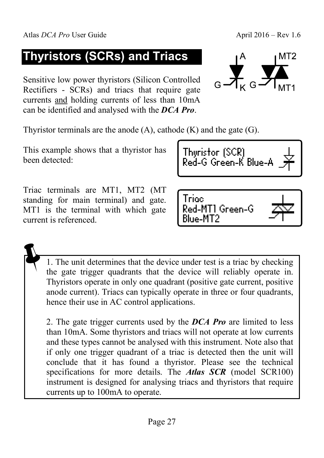# **Thyristors (SCRs) and Triacs**

Sensitive low power thyristors (Silicon Controlled Rectifiers - SCRs) and triacs that require gate currents and holding currents of less than 10mA can be identified and analysed with the *DCA Pro*.

Thyristor terminals are the anode (A), cathode (K) and the gate (G).

This example shows that a thyristor has been detected:

Triac terminals are MT1, MT2 (MT standing for main terminal) and gate. MT1 is the terminal with which gate current is referenced.

> 1. The unit determines that the device under test is a triac by checking the gate trigger quadrants that the device will reliably operate in. Thyristors operate in only one quadrant (positive gate current, positive anode current). Triacs can typically operate in three or four quadrants, hence their use in AC control applications.

> 2. The gate trigger currents used by the *DCA Pro* are limited to less than 10mA. Some thyristors and triacs will not operate at low currents and these types cannot be analysed with this instrument. Note also that if only one trigger quadrant of a triac is detected then the unit will conclude that it has found a thyristor. Please see the technical specifications for more details. The *Atlas SCR* (model SCR100) instrument is designed for analysing triacs and thyristors that require currents up to 100mA to operate.



Thyristor (SCR) Red-G Green-K Blue-A

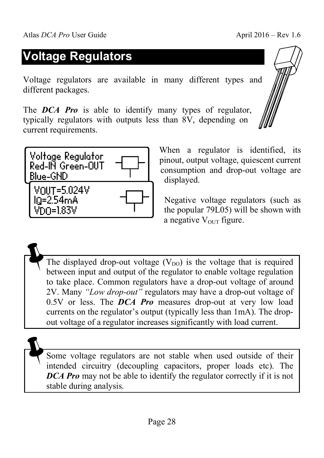# **Voltage Regulators**

Voltage regulators are available in many different types and different packages.

The **DCA Pro** is able to identify many types of regulator, typically regulators with outputs less than 8V, depending on current requirements.

> When a regulator is identified, its pinout, output voltage, quiescent current consumption and drop-out voltage are displayed.

Negative voltage regulators (such as the popular 79L05) will be shown with a negative  $V_{\text{OUT}}$  figure.

The displayed drop-out voltage  $(V_{DO})$  is the voltage that is required between input and output of the regulator to enable voltage regulation to take place. Common regulators have a drop-out voltage of around 2V. Many *"Low drop-out"* regulators may have a drop-out voltage of 0.5V or less. The *DCA Pro* measures drop-out at very low load currents on the regulator's output (typically less than 1mA). The dropout voltage of a regulator increases significantly with load current.

 Some voltage regulators are not stable when used outside of their intended circuitry (decoupling capacitors, proper loads etc). The *DCA Pro* may not be able to identify the regulator correctly if it is not stable during analysis.



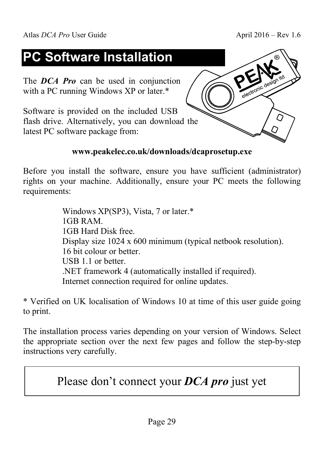# **PC Software Installation**

The **DCA Pro** can be used in conjunction with a PC running Windows XP or later.\*

Software is provided on the included USB flash drive. Alternatively, you can download the latest PC software package from:

#### **www.peakelec.co.uk/downloads/dcaprosetup.exe**

Before you install the software, ensure you have sufficient (administrator) rights on your machine. Additionally, ensure your PC meets the following requirements:

> Windows XP(SP3), Vista, 7 or later.\* 1GB RAM. 1GB Hard Disk free. Display size 1024 x 600 minimum (typical netbook resolution). 16 bit colour or better. USB 1.1 or better. .NET framework 4 (automatically installed if required). Internet connection required for online updates.

\* Verified on UK localisation of Windows 10 at time of this user guide going to print.

The installation process varies depending on your version of Windows. Select the appropriate section over the next few pages and follow the step-by-step instructions very carefully.

### Please don't connect your *DCA pro* just yet

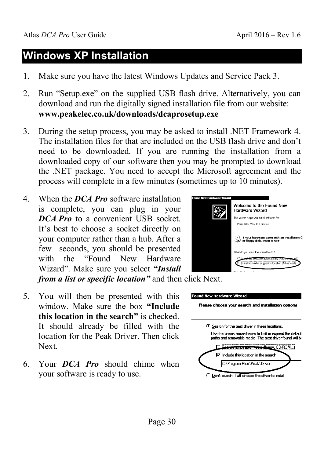### **Windows XP Installation**

- 1. Make sure you have the latest Windows Updates and Service Pack 3.
- 2. Run "Setup.exe" on the supplied USB flash drive. Alternatively, you can download and run the digitally signed installation file from our website: **www.peakelec.co.uk/downloads/dcaprosetup.exe**
- 3. During the setup process, you may be asked to install .NET Framework 4. The installation files for that are included on the USB flash drive and don't need to be downloaded. If you are running the installation from a downloaded copy of our software then you may be prompted to download the .NET package. You need to accept the Microsoft agreement and the process will complete in a few minutes (sometimes up to 10 minutes).
- 4. When the *DCA Pro* software installation is complete, you can plug in your *DCA Pro* to a convenient USB socket. It's best to choose a socket directly on your computer rather than a hub. After a few seconds, you should be presented with the "Found New Hardware" Wizard". Make sure you select *"Install from a list or specific location"* and then click Next.
- 5. You will then be presented with this window. Make sure the box **"Include this location in the search"** is checked. It should already be filled with the location for the Peak Driver. Then click Next.
- 6. Your *DCA Pro* should chime when your software is ready to use.



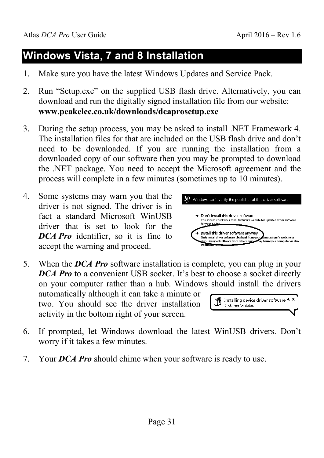Windows can't verify the publisher of this driver software

.<br>You should check your manufacturer's website for updated driver software

Install this driver software arryway<br>Only install driver software obtained from your anufacturer's website or<br>disc. Unsigned software from other sources may harm your computer or steal

 $\rightarrow$  Don't install this driver software

**>** Install this driver software anyway

Only install driver software obtained from<br>disc. Unsigned software from other source<br>informations

for your device

### **Windows Vista, 7 and 8 Installation**

- 1. Make sure you have the latest Windows Updates and Service Pack.
- 2. Run "Setup.exe" on the supplied USB flash drive. Alternatively, you can download and run the digitally signed installation file from our website: **www.peakelec.co.uk/downloads/dcaprosetup.exe**
- 3. During the setup process, you may be asked to install .NET Framework 4. The installation files for that are included on the USB flash drive and don't need to be downloaded. If you are running the installation from a downloaded copy of our software then you may be prompted to download the .NET package. You need to accept the Microsoft agreement and the process will complete in a few minutes (sometimes up to 10 minutes).
- 4. Some systems may warn you that the driver is not signed. The driver is in fact a standard Microsoft WinUSB driver that is set to look for the *DCA Pro* identifier, so it is fine to accept the warning and proceed.

activity in the bottom right of your screen.



- 6. If prompted, let Windows download the latest WinUSB drivers. Don't worry if it takes a few minutes.
- 7. Your *DCA Pro* should chime when your software is ready to use.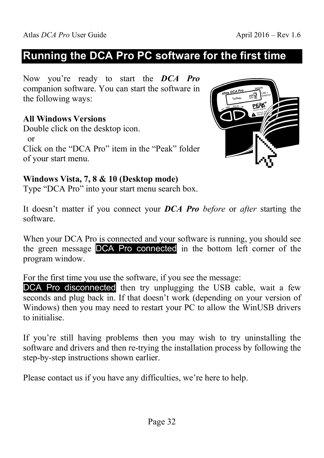### **Running the DCA Pro PC software for the first time**

Now you're ready to start the *DCA Pro* companion software. You can start the software in the following ways:

#### **All Windows Versions**

Double click on the desktop icon.

 or Click on the "DCA Pro" item in the "Peak" folder of your start menu.

#### **Windows Vista, 7, 8 & 10 (Desktop mode)**

Type "DCA Pro" into your start menu search box.



When your DCA Pro is connected and your software is running, you should see the green message DCA Pro connected in the bottom left corner of the program window.

For the first time you use the software, if you see the message:

DCA Pro disconnected then try unplugging the USB cable, wait a few seconds and plug back in. If that doesn't work (depending on your version of Windows) then you may need to restart your PC to allow the WinUSB drivers to initialise.

If you're still having problems then you may wish to try uninstalling the software and drivers and then re-trying the installation process by following the step-by-step instructions shown earlier.

Please contact us if you have any difficulties, we're here to help.

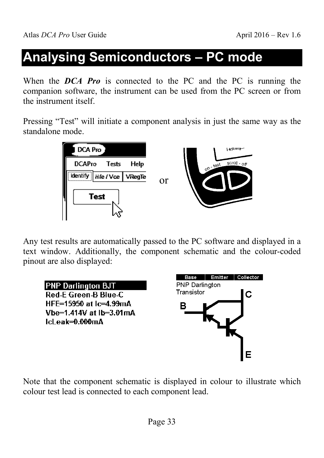# **Analysing Semiconductors – PC mode**

When the *DCA Pro* is connected to the PC and the PC is running the companion software, the instrument can be used from the PC screen or from the instrument itself.

Pressing "Test" will initiate a component analysis in just the same way as the standalone mode.



Any test results are automatically passed to the PC software and displayed in a text window. Additionally, the component schematic and the colour-coded pinout are also displayed:



Note that the component schematic is displayed in colour to illustrate which colour test lead is connected to each component lead.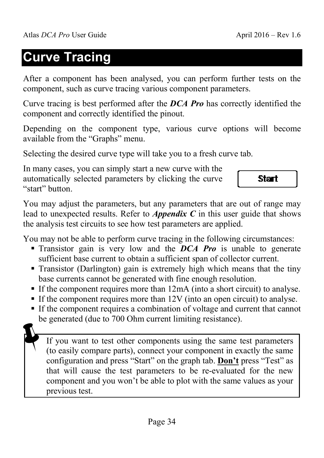# **Curve Tracing**

After a component has been analysed, you can perform further tests on the component, such as curve tracing various component parameters.

Curve tracing is best performed after the *DCA Pro* has correctly identified the component and correctly identified the pinout.

Depending on the component type, various curve options will become available from the "Graphs" menu.

Selecting the desired curve type will take you to a fresh curve tab.

In many cases, you can simply start a new curve with the automatically selected parameters by clicking the curve "start" button.



You may adjust the parameters, but any parameters that are out of range may lead to unexpected results. Refer to *Appendix C* in this user guide that shows the analysis test circuits to see how test parameters are applied.

You may not be able to perform curve tracing in the following circumstances:

- Transistor gain is very low and the *DCA Pro* is unable to generate sufficient base current to obtain a sufficient span of collector current.
- Transistor (Darlington) gain is extremely high which means that the tiny base currents cannot be generated with fine enough resolution.
- If the component requires more than 12mA (into a short circuit) to analyse.
- If the component requires more than  $12V$  (into an open circuit) to analyse.
- If the component requires a combination of voltage and current that cannot be generated (due to 700 Ohm current limiting resistance).
	- If you want to test other components using the same test parameters (to easily compare parts), connect your component in exactly the same configuration and press "Start" on the graph tab. **Don't** press "Test" as that will cause the test parameters to be re-evaluated for the new component and you won't be able to plot with the same values as your previous test.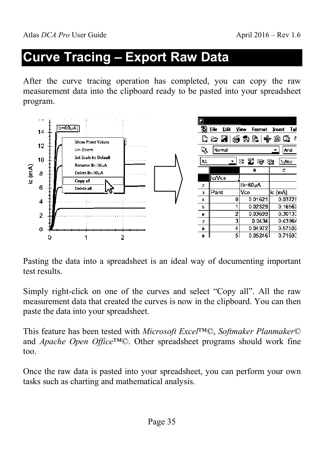# **Curve Tracing – Export Raw Data**

After the curve tracing operation has completed, you can copy the raw measurement data into the clipboard ready to be pasted into your spreadsheet program.



Pasting the data into a spreadsheet is an ideal way of documenting important test results.

Simply right-click on one of the curves and select "Copy all". All the raw measurement data that created the curves is now in the clipboard. You can then paste the data into your spreadsheet.

This feature has been tested with *Microsoft Excel*™©, *Softmaker Planmaker*© and *Apache Open Office*™©. Other spreadsheet programs should work fine too.

Once the raw data is pasted into your spreadsheet, you can perform your own tasks such as charting and mathematical analysis.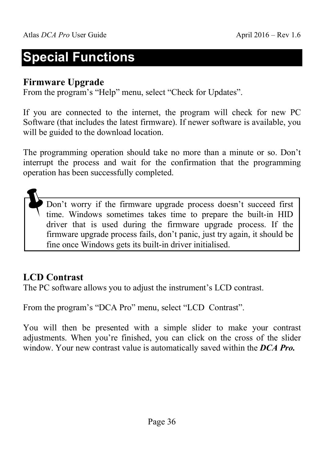# **Special Functions**

#### **Firmware Upgrade**

From the program's "Help" menu, select "Check for Updates".

If you are connected to the internet, the program will check for new PC Software (that includes the latest firmware). If newer software is available, you will be guided to the download location.

The programming operation should take no more than a minute or so. Don't interrupt the process and wait for the confirmation that the programming operation has been successfully completed.

 Don't worry if the firmware upgrade process doesn't succeed first time. Windows sometimes takes time to prepare the built-in HID driver that is used during the firmware upgrade process. If the firmware upgrade process fails, don't panic, just try again, it should be fine once Windows gets its built-in driver initialised.

### **LCD Contrast**

The PC software allows you to adjust the instrument's LCD contrast.

From the program's "DCA Pro" menu, select "LCD Contrast".

You will then be presented with a simple slider to make your contrast adjustments. When you're finished, you can click on the cross of the slider window. Your new contrast value is automatically saved within the *DCA Pro.*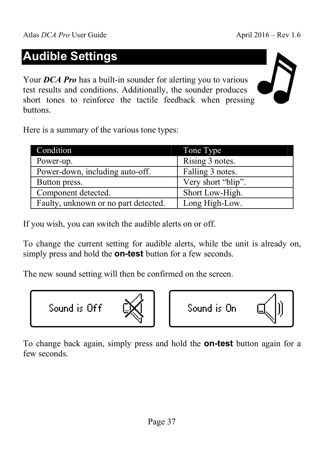# **Audible Settings**

Your *DCA Pro* has a built-in sounder for alerting you to various test results and conditions. Additionally, the sounder produces short tones to reinforce the tactile feedback when pressing buttons.



Here is a summary of the various tone types:

| Condition                            | Tone Type          |
|--------------------------------------|--------------------|
| Power-up.                            | Rising 3 notes.    |
| Power-down, including auto-off.      | Falling 3 notes.   |
| Button press.                        | Very short "blip". |
| Component detected.                  | Short Low-High.    |
| Faulty, unknown or no part detected. | Long High-Low.     |

If you wish, you can switch the audible alerts on or off.

To change the current setting for audible alerts, while the unit is already on, simply press and hold the **on-test** button for a few seconds.

The new sound setting will then be confirmed on the screen.



To change back again, simply press and hold the **on-test** button again for a few seconds.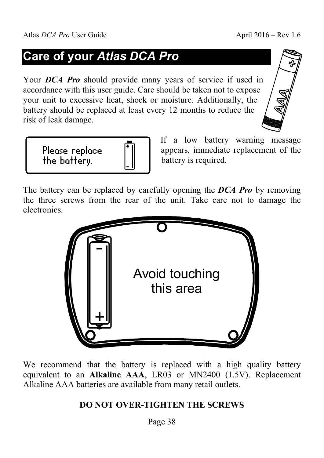# **Care of your** *Atlas DCA Pro*

Your *DCA Pro* should provide many years of service if used in accordance with this user guide. Care should be taken not to expose your unit to excessive heat, shock or moisture. Additionally, the battery should be replaced at least every 12 months to reduce the risk of leak damage.



If a low battery warning message appears, immediate replacement of the battery is required.

The battery can be replaced by carefully opening the *DCA Pro* by removing the three screws from the rear of the unit. Take care not to damage the electronics.



We recommend that the battery is replaced with a high quality battery equivalent to an **Alkaline AAA**, LR03 or MN2400 (1.5V). Replacement Alkaline AAA batteries are available from many retail outlets.

#### **DO NOT OVER-TIGHTEN THE SCREWS**

Page 38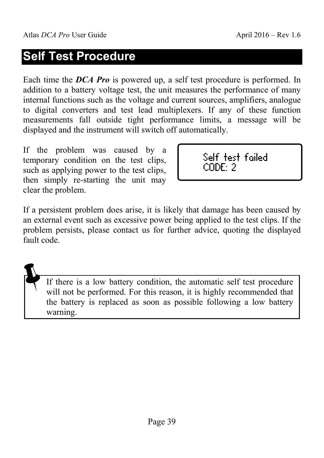### **Self Test Procedure**

Each time the *DCA Pro* is powered up, a self test procedure is performed. In addition to a battery voltage test, the unit measures the performance of many internal functions such as the voltage and current sources, amplifiers, analogue to digital converters and test lead multiplexers. If any of these function measurements fall outside tight performance limits, a message will be displayed and the instrument will switch off automatically.

If the problem was caused by a temporary condition on the test clips, such as applying power to the test clips, then simply re-starting the unit may clear the problem.

Self test failed CODE: 2

If a persistent problem does arise, it is likely that damage has been caused by an external event such as excessive power being applied to the test clips. If the problem persists, please contact us for further advice, quoting the displayed fault code.

 If there is a low battery condition, the automatic self test procedure will not be performed. For this reason, it is highly recommended that the battery is replaced as soon as possible following a low battery warning.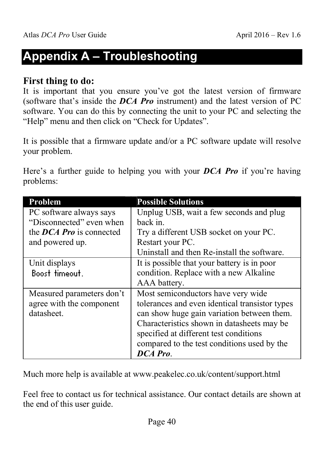# **Appendix A – Troubleshooting**

#### **First thing to do:**

It is important that you ensure you've got the latest version of firmware (software that's inside the *DCA Pro* instrument) and the latest version of PC software. You can do this by connecting the unit to your PC and selecting the "Help" menu and then click on "Check for Updates".

It is possible that a firmware update and/or a PC software update will resolve your problem.

Here's a further guide to helping you with your *DCA Pro* if you're having problems:

| Problem                   | <b>Possible Solutions</b>                      |  |  |  |
|---------------------------|------------------------------------------------|--|--|--|
| PC software always says   | Unplug USB, wait a few seconds and plug        |  |  |  |
| "Disconnected" even when  | back in.                                       |  |  |  |
| the DCA Pro is connected  | Try a different USB socket on your PC.         |  |  |  |
| and powered up.           | Restart your PC.                               |  |  |  |
|                           | Uninstall and then Re-install the software.    |  |  |  |
| Unit displays             | It is possible that your battery is in poor    |  |  |  |
| Boost timeout.            | condition. Replace with a new Alkaline         |  |  |  |
|                           | AAA battery.                                   |  |  |  |
| Measured parameters don't | Most semiconductors have very wide             |  |  |  |
| agree with the component  | tolerances and even identical transistor types |  |  |  |
| datasheet.                | can show huge gain variation between them.     |  |  |  |
|                           | Characteristics shown in datasheets may be     |  |  |  |
|                           | specified at different test conditions         |  |  |  |
|                           | compared to the test conditions used by the    |  |  |  |
|                           | DCA Pro.                                       |  |  |  |

Much more help is available at www.peakelec.co.uk/content/support.html

Feel free to contact us for technical assistance. Our contact details are shown at the end of this user guide.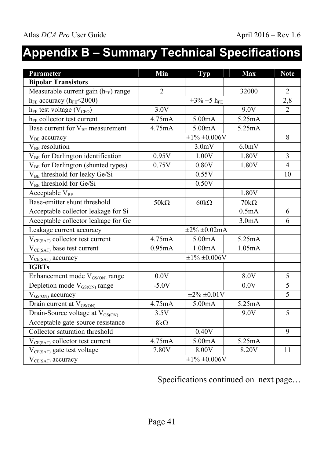# **Appendix B – Summary Technical Specifications**

| <b>Parameter</b>                              | Min                  | <b>Typ</b>             | <b>Max</b>         | <b>Note</b>    |
|-----------------------------------------------|----------------------|------------------------|--------------------|----------------|
| <b>Bipolar Transistors</b>                    |                      |                        |                    |                |
| Measurable current gain $(h_{FE})$ range      | $\overline{2}$       |                        | 32000              | $\overline{2}$ |
| $h_{FE}$ accuracy ( $h_{FE}$ < 2000)          |                      | $\pm 3\% \pm 5 h_{FE}$ |                    | 2,8            |
| $h_{FE}$ test voltage ( $V_{CEO}$ )           | 3.0V                 |                        | 9.0V               | $\overline{2}$ |
| h <sub>FE</sub> collector test current        | 4.75mA               | 5.00mA                 | 5.25mA             |                |
| Base current for V <sub>BE</sub> measurement  | 4.75mA               | 5.00mA                 | 5.25mA             |                |
| V <sub>BE</sub> accuracy                      |                      | $\pm 1\% \pm 0.006V$   |                    | 8              |
| $V_{BE}$ resolution                           |                      | 3.0mV                  | 6.0mV              |                |
| V <sub>BE</sub> for Darlington identification | 0.95V                | 1.00V                  | 1.80V              | 3              |
| $V_{BE}$ for Darlington (shunted types)       | 0.75V                | 0.80V                  | 1.80V              | $\overline{4}$ |
| V <sub>BE</sub> threshold for leaky Ge/Si     |                      | 0.55V                  |                    | 10             |
| V <sub>BE</sub> threshold for Ge/Si           |                      | 0.50V                  |                    |                |
| Acceptable $V_{BE}$                           |                      |                        | 1.80V              |                |
| Base-emitter shunt threshold                  | $50k\Omega$          | $60k\Omega$            | $70k\Omega$        |                |
| Acceptable collector leakage for Si           |                      |                        | 0.5mA              | 6              |
| Acceptable collector leakage for Ge           |                      |                        | 3.0 <sub>m</sub> A | 6              |
| Leakage current accuracy                      |                      | $\pm 2\% \pm 0.02$ mA  |                    |                |
| $V_{CE(SAT)}$ collector test current          | 4.75mA               | 5.00mA                 | 5.25mA             |                |
| $V_{CE(SAT)}$ base test current               | 0.95mA               | 1.00mA                 | 1.05mA             |                |
| $V_{CE(SAT)}$ accuracy                        |                      | $\pm 1\% \pm 0.006V$   |                    |                |
| <b>IGBTs</b>                                  |                      |                        |                    |                |
| Enhancement mode V <sub>GS(ON)</sub> range    | 0.0V                 |                        | 8.0V               | 5              |
| Depletion mode $V_{\text{GS(ON)}}$ range      | $-5.0V$              |                        | 0.0V               | 5              |
| $V_{GS(ON)}$ accuracy                         | $\pm 2\% \pm 0.01V$  |                        | 5                  |                |
| Drain current at V <sub>GS(ON)</sub>          | 4.75mA               | 5.00mA                 | 5.25mA             |                |
| Drain-Source voltage at V <sub>GS(ON)</sub>   | 3.5V                 |                        | 9.0V               | 5              |
| Acceptable gate-source resistance             | $8k\Omega$           |                        |                    |                |
| Collector saturation threshold                |                      | 0.40V                  |                    | 9              |
| $V_{CE(SAT)}$ collector test current          | 4.75mA               | 5.00mA                 | 5.25mA             |                |
| $V_{CE(SAT)}$ gate test voltage               | 7.80V                | 8.00V                  | 8.20V              | 11             |
| $V_{CE(SAT)}$ accuracy                        | $\pm 1\% \pm 0.006V$ |                        |                    |                |

Specifications continued on next page…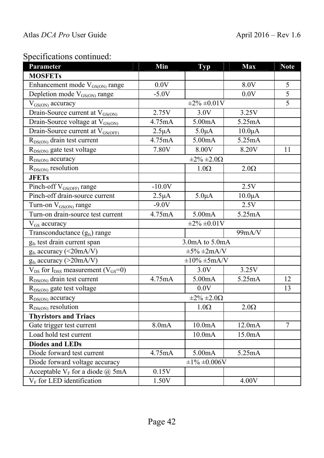### Specifications continued:

| <b>Parameter</b>                                  | <b>Min</b>           | Typ                     | <b>Max</b>  | <b>Note</b>    |
|---------------------------------------------------|----------------------|-------------------------|-------------|----------------|
| <b>MOSFETs</b>                                    |                      |                         |             |                |
| Enhancement mode V <sub>GS(ON)</sub> range        | 0.0V                 |                         | 8.0V        | 5              |
| Depletion mode V <sub>GS(ON)</sub> range          | $-5.0V$              |                         | 0.0V        | 5              |
| $V_{GS(ON)}$ accuracy                             | $\pm 2\% \pm 0.01V$  |                         |             | 5              |
| Drain-Source current at V <sub>GS(ON)</sub>       | 2.75V                | 3.0V                    | 3.25V       |                |
| Drain-Source voltage at $V_{GS(ON)}$              | 4.75mA               | 5.00mA                  | 5.25mA      |                |
| Drain-Source current at V <sub>GS(OFF)</sub>      | $2.5\mu A$           | $5.0\mu A$              | $10.0\mu A$ |                |
| $R_{DS(ON)}$ drain test current                   | 4.75mA               | 5.00mA                  | 5.25mA      |                |
| $R_{DS(ON)}$ gate test voltage                    | 7.80V                | 8.00V                   | 8.20V       | 11             |
| $R_{DS(ON)}$ accuracy                             |                      | $\pm 2\% \pm 2.0\Omega$ |             |                |
| $R_{DS(ON)}$ resolution                           |                      | $1.0\Omega$             | $2.0\Omega$ |                |
| <b>JFETs</b>                                      |                      |                         |             |                |
| Pinch-off V <sub>GS(OFF)</sub> range              | $-10.0V$             |                         | 2.5V        |                |
| Pinch-off drain-source current                    | $2.5\mu A$           | $5.0\mu A$              | $10.0\mu A$ |                |
| Turn-on V <sub>GS(ON)</sub> range                 | $-9.0V$              |                         | 2.5V        |                |
| Turn-on drain-source test current                 | 4.75mA               | 5.00mA                  | 5.25mA      |                |
| $V_{GS}$ accuracy                                 | $\pm 2\% \pm 0.01V$  |                         |             |                |
| Transconductance (gfs) range                      |                      |                         | 99mA/V      |                |
| g <sub>fs</sub> test drain current span           | 3.0mA to 5.0mA       |                         |             |                |
| $g_{fs}$ accuracy (<20mA/V)                       |                      | $\pm 5\%$ $\pm 2$ mA/V  |             |                |
| $g_{fs}$ accuracy (>20mA/V)                       |                      | $\pm 10\% \pm 5$ mA/V   |             |                |
| $V_{DS}$ for $I_{DSS}$ measurement ( $V_{GS}$ =0) |                      | 3.0V                    | 3.25V       |                |
| $R_{DS(ON)}$ drain test current                   | 4.75mA               | 5.00mA                  | 5.25mA      | 12             |
| $R_{DS(ON)}$ gate test voltage                    |                      | 0.0V                    |             | 13             |
| $R_{DS(ON)}$ accuracy                             |                      | $\pm 2\% \pm 2.0\Omega$ |             |                |
| $R_{DS(ON)}$ resolution                           |                      | $1.0\Omega$             | $2.0\Omega$ |                |
| <b>Thyristors and Triacs</b>                      |                      |                         |             |                |
| Gate trigger test current                         | 8.0 <sub>m</sub> A   | 10.0 <sub>m</sub> A     | 12.0mA      | $\overline{7}$ |
| Load hold test current                            |                      | 10.0 <sub>m</sub> A     | 15.0mA      |                |
| <b>Diodes and LEDs</b>                            |                      |                         |             |                |
| Diode forward test current                        | 4.75mA               | 5.00mA                  | 5.25mA      |                |
| Diode forward voltage accuracy                    | $\pm 1\% \pm 0.006V$ |                         |             |                |
| Acceptable $V_F$ for a diode $\omega$ 5mA         | 0.15V                |                         |             |                |
| $V_F$ for LED identification                      | 1.50V                |                         | 4.00V       |                |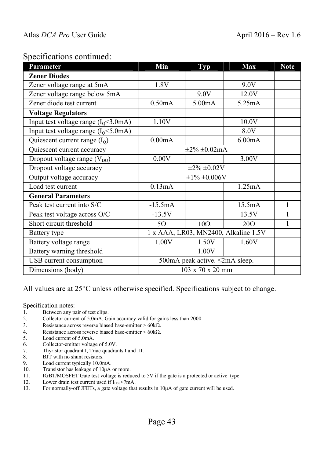#### Specifications continued:

| <b>Parameter</b>                                 | Min                                  | <b>Typ</b> | <b>Max</b> | <b>Note</b> |
|--------------------------------------------------|--------------------------------------|------------|------------|-------------|
| <b>Zener Diodes</b>                              |                                      |            |            |             |
| Zener voltage range at 5mA                       | 1.8V                                 |            | 9.0V       |             |
| Zener voltage range below 5mA                    |                                      | 9.0V       | 12.0V      |             |
| Zener diode test current                         | 0.50mA                               | 5.00mA     | 5.25mA     |             |
| <b>Voltage Regulators</b>                        |                                      |            |            |             |
| Input test voltage range $(I_0 < 3.0 \text{mA})$ | 1.10V                                |            | 10.0V      |             |
| Input test voltage range $(I_0 < 5.0 \text{mA})$ |                                      |            | 8.0V       |             |
| Quiescent current range $(Io)$                   | 0.00mA                               |            | 6.00mA     |             |
| Quiescent current accuracy                       | $\pm 2\% \pm 0.02$ mA                |            |            |             |
| Dropout voltage range $(V_{DO})$                 | 0.00V                                |            | 3.00V      |             |
| Dropout voltage accuracy                         | $\pm 2\% \pm 0.02V$                  |            |            |             |
| Output voltage accuracy                          | $\pm 1\% \pm 0.006V$                 |            |            |             |
| Load test current                                | 0.13mA                               |            | 1.25mA     |             |
| <b>General Parameters</b>                        |                                      |            |            |             |
| Peak test current into S/C                       | $-15.5mA$                            |            | 15.5mA     | 1           |
| Peak test voltage across O/C                     | $-13.5V$                             |            | 13.5V      |             |
| Short circuit threshold                          | $5\Omega$                            | $10\Omega$ | $20\Omega$ |             |
| Battery type                                     | 1 x AAA, LR03, MN2400, Alkaline 1.5V |            |            |             |
| Battery voltage range                            | 1.00V                                | 1.50V      | 1.60V      |             |
| Battery warning threshold                        |                                      | 1.00V      |            |             |
| USB current consumption                          | 500mA peak active. ≤2mA sleep.       |            |            |             |
| Dimensions (body)                                | 103 x 70 x 20 mm                     |            |            |             |

All values are at 25°C unless otherwise specified. Specifications subject to change.

Specification notes:<br>1. Between any p

- 1. Between any pair of test clips.<br>2. Collector current of 5.0mA. G
- 2. Collector current of 5.0mA. Gain accuracy valid for gains less than 2000.
- 3. Resistance across reverse biased base-emitter >  $60k\Omega$ .<br>4. Resistance across reverse biased base-emitter <  $60k\Omega$ .
- 4. Resistance across reverse biased base-emitter  $< 60kΩ$ .<br>5. Load current of 5.0mA.
- 5. Load current of 5.0mA.
- 6. Collector-emitter voltage of 5.0V.<br>7. Thyristor quadrant I, Triac quadrant
- 7. Thyristor quadrant I, Triac quadrants I and III.
- 8. BJT with no shunt resistors.
- 9. Load current typically 10.0mA.
- 10. Transistor has leakage of 10µA or more.
- 11. IGBT/MOSFET Gate test voltage is reduced to 5V if the gate is a protected or active type.
- 12. Lower drain test current used if  $I_{\text{DSS}}$  <7mA.<br>13. For normally-off JFETs, a gate voltage that
- 13. For normally-off JFETs, a gate voltage that results in 10µA of gate current will be used.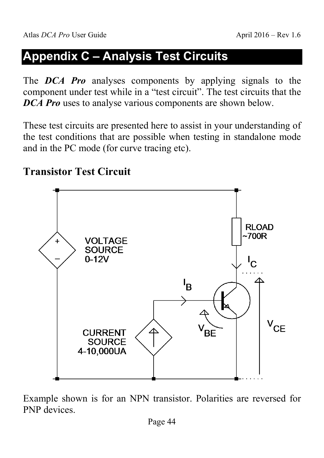# **Appendix C – Analysis Test Circuits**

The *DCA Pro* analyses components by applying signals to the component under test while in a "test circuit". The test circuits that the *DCA Pro* uses to analyse various components are shown below.

These test circuits are presented here to assist in your understanding of the test conditions that are possible when testing in standalone mode and in the PC mode (for curve tracing etc).

### **Transistor Test Circuit**



Example shown is for an NPN transistor. Polarities are reversed for PNP devices.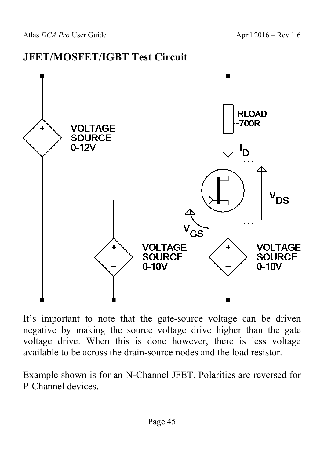### **JFET/MOSFET/IGBT Test Circuit**



It's important to note that the gate-source voltage can be driven negative by making the source voltage drive higher than the gate voltage drive. When this is done however, there is less voltage available to be across the drain-source nodes and the load resistor.

Example shown is for an N-Channel JFET. Polarities are reversed for P-Channel devices.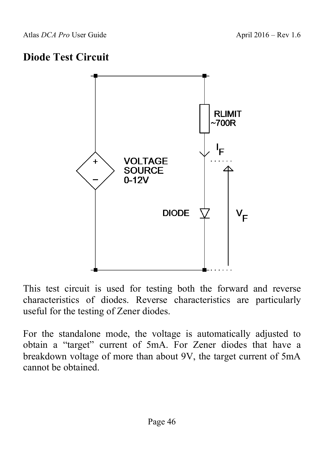Atlas *DCA Pro* User Guide April 2016 – Rev 1.6

### **Diode Test Circuit**



This test circuit is used for testing both the forward and reverse characteristics of diodes. Reverse characteristics are particularly useful for the testing of Zener diodes.

For the standalone mode, the voltage is automatically adjusted to obtain a "target" current of 5mA. For Zener diodes that have a breakdown voltage of more than about 9V, the target current of 5mA cannot be obtained.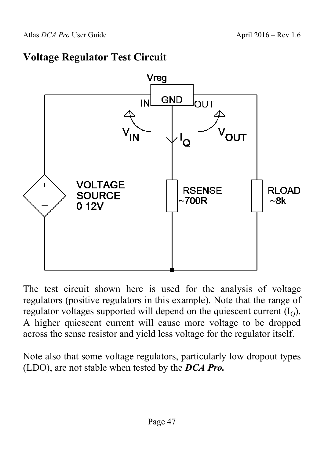### **Voltage Regulator Test Circuit**



The test circuit shown here is used for the analysis of voltage regulators (positive regulators in this example). Note that the range of regulator voltages supported will depend on the quiescent current  $(I<sub>O</sub>)$ . A higher quiescent current will cause more voltage to be dropped across the sense resistor and yield less voltage for the regulator itself.

Note also that some voltage regulators, particularly low dropout types (LDO), are not stable when tested by the *DCA Pro.*